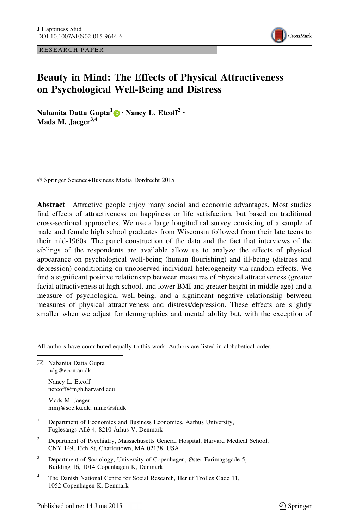RESEARCH PAPER



# Beauty in Mind: The Effects of Physical Attractiveness on Psychological Well-Being and Distress

Nabanita Datta Gupta<sup>1</sup> (D · Nancy L. Etcoff<sup>2</sup> · Mads M. Jaeger<sup>3,4</sup>

- Springer Science+Business Media Dordrecht 2015

Abstract Attractive people enjoy many social and economic advantages. Most studies find effects of attractiveness on happiness or life satisfaction, but based on traditional cross-sectional approaches. We use a large longitudinal survey consisting of a sample of male and female high school graduates from Wisconsin followed from their late teens to their mid-1960s. The panel construction of the data and the fact that interviews of the siblings of the respondents are available allow us to analyze the effects of physical appearance on psychological well-being (human flourishing) and ill-being (distress and depression) conditioning on unobserved individual heterogeneity via random effects. We find a significant positive relationship between measures of physical attractiveness (greater facial attractiveness at high school, and lower BMI and greater height in middle age) and a measure of psychological well-being, and a significant negative relationship between measures of physical attractiveness and distress/depression. These effects are slightly smaller when we adjust for demographics and mental ability but, with the exception of

Nancy L. Etcoff netcoff@mgh.harvard.edu

Mads M. Jaeger mmj@soc.ku.dk; mme@sfi.dk

- <sup>1</sup> Department of Economics and Business Economics, Aarhus University, Fuglesangs Allé 4, 8210 Arhus V, Denmark
- <sup>2</sup> Department of Psychiatry, Massachusetts General Hospital, Harvard Medical School, CNY 149, 13th St, Charlestown, MA 02138, USA
- <sup>3</sup> Department of Sociology, University of Copenhagen, Øster Farimagsgade 5, Building 16, 1014 Copenhagen K, Denmark
- 4 The Danish National Centre for Social Research, Herluf Trolles Gade 11, 1052 Copenhagen K, Denmark

All authors have contributed equally to this work. Authors are listed in alphabetical order.

<sup>&</sup>amp; Nabanita Datta Gupta ndg@econ.au.dk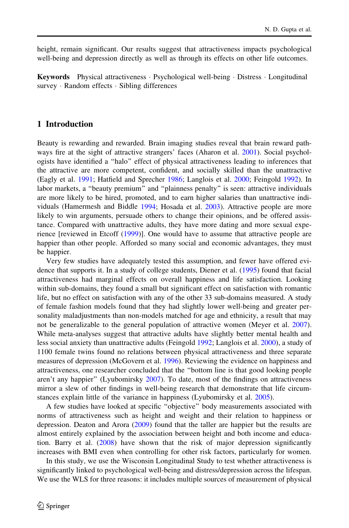height, remain significant. Our results suggest that attractiveness impacts psychological well-being and depression directly as well as through its effects on other life outcomes.

Keywords Physical attractiveness · Psychological well-being · Distress · Longitudinal survey - Random effects - Sibling differences

# 1 Introduction

Beauty is rewarding and rewarded. Brain imaging studies reveal that brain reward pathways fire at the sight of attractive strangers' faces (Aharon et al. [2001\)](#page-10-0). Social psychologists have identified a ''halo'' effect of physical attractiveness leading to inferences that the attractive are more competent, confident, and socially skilled than the unattractive (Eagly et al. [1991](#page-11-0); Hatfield and Sprecher [1986;](#page-11-0) Langlois et al. [2000](#page-11-0); Feingold [1992\)](#page-11-0). In labor markets, a "beauty premium" and "plainness penalty" is seen: attractive individuals are more likely to be hired, promoted, and to earn higher salaries than unattractive individuals (Hamermesh and Biddle [1994](#page-11-0); Hosada et al. [2003](#page-11-0)). Attractive people are more likely to win arguments, persuade others to change their opinions, and be offered assistance. Compared with unattractive adults, they have more dating and more sexual experience [reviewed in Etcoff ([1999\)](#page-11-0)]. One would have to assume that attractive people are happier than other people. Afforded so many social and economic advantages, they must be happier.

Very few studies have adequately tested this assumption, and fewer have offered evidence that supports it. In a study of college students, Diener et al. ([1995\)](#page-10-0) found that facial attractiveness had marginal effects on overall happiness and life satisfaction. Looking within sub-domains, they found a small but significant effect on satisfaction with romantic life, but no effect on satisfaction with any of the other 33 sub-domains measured. A study of female fashion models found that they had slightly lower well-being and greater personality maladjustments than non-models matched for age and ethnicity, a result that may not be generalizable to the general population of attractive women (Meyer et al. [2007](#page-11-0)). While meta-analyses suggest that attractive adults have slightly better mental health and less social anxiety than unattractive adults (Feingold [1992](#page-11-0); Langlois et al. [2000](#page-11-0)), a study of 1100 female twins found no relations between physical attractiveness and three separate measures of depression (McGovern et al. [1996\)](#page-11-0). Reviewing the evidence on happiness and attractiveness, one researcher concluded that the ''bottom line is that good looking people aren't any happier'' (Lyubomirsky [2007\)](#page-11-0). To date, most of the findings on attractiveness mirror a slew of other findings in well-being research that demonstrate that life circumstances explain little of the variance in happiness (Lyubomirsky et al. [2005](#page-11-0)).

A few studies have looked at specific ''objective'' body measurements associated with norms of attractiveness such as height and weight and their relation to happiness or depression. Deaton and Arora [\(2009](#page-10-0)) found that the taller are happier but the results are almost entirely explained by the association between height and both income and education. Barry et al. ([2008\)](#page-10-0) have shown that the risk of major depression significantly increases with BMI even when controlling for other risk factors, particularly for women.

In this study, we use the Wisconsin Longitudinal Study to test whether attractiveness is significantly linked to psychological well-being and distress/depression across the lifespan. We use the WLS for three reasons: it includes multiple sources of measurement of physical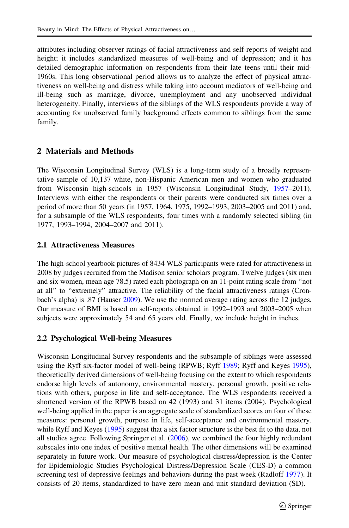attributes including observer ratings of facial attractiveness and self-reports of weight and height; it includes standardized measures of well-being and of depression; and it has detailed demographic information on respondents from their late teens until their mid-1960s. This long observational period allows us to analyze the effect of physical attractiveness on well-being and distress while taking into account mediators of well-being and ill-being such as marriage, divorce, unemployment and any unobserved individual heterogeneity. Finally, interviews of the siblings of the WLS respondents provide a way of accounting for unobserved family background effects common to siblings from the same family.

#### 2 Materials and Methods

The Wisconsin Longitudinal Survey (WLS) is a long-term study of a broadly representative sample of 10,137 white, non-Hispanic American men and women who graduated from Wisconsin high-schools in 1957 (Wisconsin Longitudinal Study, [1957](#page-12-0)–2011). Interviews with either the respondents or their parents were conducted six times over a period of more than 50 years (in 1957, 1964, 1975, 1992–1993, 2003–2005 and 2011) and, for a subsample of the WLS respondents, four times with a randomly selected sibling (in 1977, 1993–1994, 2004–2007 and 2011).

#### 2.1 Attractiveness Measures

The high-school yearbook pictures of 8434 WLS participants were rated for attractiveness in 2008 by judges recruited from the Madison senior scholars program. Twelve judges (six men and six women, mean age 78.5) rated each photograph on an 11-point rating scale from ''not at all" to "extremely" attractive. The reliability of the facial attractiveness ratings (Cronbach's alpha) is .87 (Hauser [2009\)](#page-11-0). We use the normed average rating across the 12 judges. Our measure of BMI is based on self-reports obtained in 1992–1993 and 2003–2005 when subjects were approximately 54 and 65 years old. Finally, we include height in inches.

#### 2.2 Psychological Well-being Measures

Wisconsin Longitudinal Survey respondents and the subsample of siblings were assessed using the Ryff six-factor model of well-being (RPWB; Ryff [1989](#page-11-0); Ryff and Keyes [1995](#page-11-0)), theoretically derived dimensions of well-being focusing on the extent to which respondents endorse high levels of autonomy, environmental mastery, personal growth, positive relations with others, purpose in life and self-acceptance. The WLS respondents received a shortened version of the RPWB based on 42 (1993) and 31 items (2004). Psychological well-being applied in the paper is an aggregate scale of standardized scores on four of these measures: personal growth, purpose in life, self-acceptance and environmental mastery. while Ryff and Keyes ([1995\)](#page-11-0) suggest that a six factor structure is the best fit to the data, not all studies agree. Following Springer et al. ([2006\)](#page-11-0), we combined the four highly redundant subscales into one index of positive mental health. The other dimensions will be examined separately in future work. Our measure of psychological distress/depression is the Center for Epidemiologic Studies Psychological Distress/Depression Scale (CES-D) a common screening test of depressive feelings and behaviors during the past week (Radloff [1977\)](#page-11-0). It consists of 20 items, standardized to have zero mean and unit standard deviation (SD).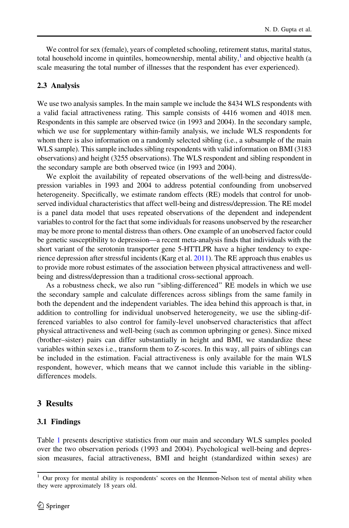We control for sex (female), years of completed schooling, retirement status, marital status, total household income in quintiles, homeownership, mental ability,<sup>1</sup> and objective health (a scale measuring the total number of illnesses that the respondent has ever experienced).

#### 2.3 Analysis

We use two analysis samples. In the main sample we include the 8434 WLS respondents with a valid facial attractiveness rating. This sample consists of 4416 women and 4018 men. Respondents in this sample are observed twice (in 1993 and 2004). In the secondary sample, which we use for supplementary within-family analysis, we include WLS respondents for whom there is also information on a randomly selected sibling (i.e., a subsample of the main WLS sample). This sample includes sibling respondents with valid information on BMI (3183 observations) and height (3255 observations). The WLS respondent and sibling respondent in the secondary sample are both observed twice (in 1993 and 2004).

We exploit the availability of repeated observations of the well-being and distress/depression variables in 1993 and 2004 to address potential confounding from unobserved heterogeneity. Specifically, we estimate random effects (RE) models that control for unobserved individual characteristics that affect well-being and distress/depression. The RE model is a panel data model that uses repeated observations of the dependent and independent variables to control for the fact that some individuals for reasons unobserved by the researcher may be more prone to mental distress than others. One example of an unobserved factor could be genetic susceptibility to depression—a recent meta-analysis finds that individuals with the short variant of the serotonin transporter gene 5-HTTLPR have a higher tendency to experience depression after stressful incidents (Karg et al. [2011\)](#page-11-0). The RE approach thus enables us to provide more robust estimates of the association between physical attractiveness and wellbeing and distress/depression than a traditional cross-sectional approach.

As a robustness check, we also run ''sibling-differenced'' RE models in which we use the secondary sample and calculate differences across siblings from the same family in both the dependent and the independent variables. The idea behind this approach is that, in addition to controlling for individual unobserved heterogeneity, we use the sibling-differenced variables to also control for family-level unobserved characteristics that affect physical attractiveness and well-being (such as common upbringing or genes). Since mixed (brother–sister) pairs can differ substantially in height and BMI, we standardize these variables within sexes i.e., transform them to Z-scores. In this way, all pairs of siblings can be included in the estimation. Facial attractiveness is only available for the main WLS respondent, however, which means that we cannot include this variable in the siblingdifferences models.

#### 3 Results

#### 3.1 Findings

Table [1](#page-4-0) presents descriptive statistics from our main and secondary WLS samples pooled over the two observation periods (1993 and 2004). Psychological well-being and depression measures, facial attractiveness, BMI and height (standardized within sexes) are

<sup>1</sup> Our proxy for mental ability is respondents' scores on the Henmon-Nelson test of mental ability when they were approximately 18 years old.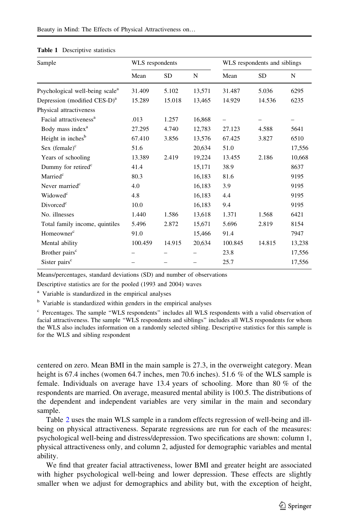| Sample                                      | WLS respondents |           |        |         | WLS respondents and siblings |        |  |
|---------------------------------------------|-----------------|-----------|--------|---------|------------------------------|--------|--|
|                                             | Mean            | <b>SD</b> | N      | Mean    | <b>SD</b>                    | N      |  |
| Psychological well-being scale <sup>a</sup> | 31.409          | 5.102     | 13,571 | 31.487  | 5.036                        | 6295   |  |
| Depression (modified CES-D) <sup>a</sup>    | 15.289          | 15.018    | 13,465 | 14.929  | 14.536                       | 6235   |  |
| Physical attractiveness                     |                 |           |        |         |                              |        |  |
| Facial attractiveness <sup>a</sup>          | .013            | 1.257     | 16,868 |         |                              |        |  |
| Body mass index <sup>a</sup>                | 27.295          | 4.740     | 12,783 | 27.123  | 4.588                        | 5641   |  |
| Height in inches <sup>b</sup>               | 67.410          | 3.856     | 13,576 | 67.425  | 3.827                        | 6510   |  |
| Sex $(female)^c$                            | 51.6            |           | 20,634 | 51.0    |                              | 17,556 |  |
| Years of schooling                          | 13.389          | 2.419     | 19,224 | 13.455  | 2.186                        | 10,668 |  |
| Dummy for retired <sup>c</sup>              | 41.4            |           | 15,171 | 38.9    |                              | 8637   |  |
| Married <sup>c</sup>                        | 80.3            |           | 16,183 | 81.6    |                              | 9195   |  |
| Never married <sup>c</sup>                  | 4.0             |           | 16,183 | 3.9     |                              | 9195   |  |
| Widowed <sup>c</sup>                        | 4.8             |           | 16,183 | 4.4     |                              | 9195   |  |
| Divorced <sup>c</sup>                       | 10.0            |           | 16,183 | 9.4     |                              | 9195   |  |
| No. illnesses                               | 1.440           | 1.586     | 13,618 | 1.371   | 1.568                        | 6421   |  |
| Total family income, quintiles              | 5.496           | 2.872     | 15,671 | 5.696   | 2.819                        | 8154   |  |
| Homeowner <sup>c</sup>                      | 91.0            |           | 15,466 | 91.4    |                              | 7947   |  |
| Mental ability                              | 100.459         | 14.915    | 20,634 | 100.845 | 14.815                       | 13,238 |  |
| Brother pairs <sup>c</sup>                  |                 |           |        | 23.8    |                              | 17,556 |  |
| Sister pairs <sup>c</sup>                   |                 |           |        | 25.7    |                              | 17,556 |  |

#### <span id="page-4-0"></span>Table 1 Descriptive statistics

Means/percentages, standard deviations (SD) and number of observations

Descriptive statistics are for the pooled (1993 and 2004) waves

<sup>a</sup> Variable is standardized in the empirical analyses

<sup>b</sup> Variable is standardized within genders in the empirical analyses

<sup>c</sup> Percentages. The sample "WLS respondents" includes all WLS respondents with a valid observation of facial attractiveness. The sample ''WLS respondents and siblings'' includes all WLS respondents for whom the WLS also includes information on a randomly selected sibling. Descriptive statistics for this sample is for the WLS and sibling respondent

centered on zero. Mean BMI in the main sample is 27.3, in the overweight category. Mean height is 67.4 inches (women 64.7 inches, men 70.6 inches). 51.6 % of the WLS sample is female. Individuals on average have 13.4 years of schooling. More than 80 % of the respondents are married. On average, measured mental ability is 100.5. The distributions of the dependent and independent variables are very similar in the main and secondary sample.

Table [2](#page-5-0) uses the main WLS sample in a random effects regression of well-being and illbeing on physical attractiveness. Separate regressions are run for each of the measures: psychological well-being and distress/depression. Two specifications are shown: column 1, physical attractiveness only, and column 2, adjusted for demographic variables and mental ability.

We find that greater facial attractiveness, lower BMI and greater height are associated with higher psychological well-being and lower depression. These effects are slightly smaller when we adjust for demographics and ability but, with the exception of height,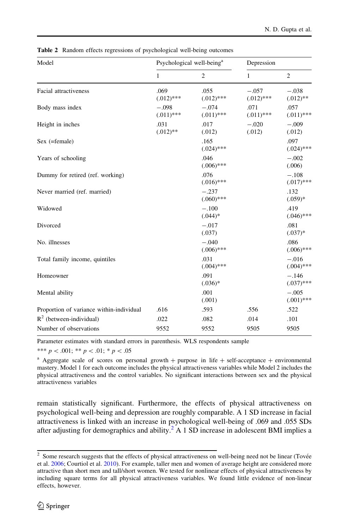| Model                                    | Psychological well-being <sup>a</sup> |                         | Depression              |                         |  |
|------------------------------------------|---------------------------------------|-------------------------|-------------------------|-------------------------|--|
|                                          | 1                                     | $\overline{c}$          | 1                       | $\overline{c}$          |  |
| Facial attractiveness                    | .069<br>$(.012)$ ***                  | .055<br>$(.012)$ ***    | $-.057$<br>$(.012)$ *** | $-.038$<br>$(.012)$ **  |  |
| Body mass index                          | $-.098$<br>$(.011)$ ***               | $-.074$<br>$(.011)$ *** | .071<br>$(.011)$ ***    | .057<br>$(.011)$ ***    |  |
| Height in inches                         | .031<br>$(.012)$ **                   | .017<br>(.012)          | $-.020$<br>(.012)       | $-.009$<br>(.012)       |  |
| Sex (=female)                            |                                       | .165<br>$(.024)$ ***    |                         | .097<br>$(.024)$ ***    |  |
| Years of schooling                       |                                       | .046<br>$(.006)$ ***    |                         | $-.002$<br>(.006)       |  |
| Dummy for retired (ref. working)         |                                       | .076<br>$(.016)$ ***    |                         | $-.108$<br>$(.017)$ *** |  |
| Never married (ref. married)             |                                       | $-.237$<br>$(.060)$ *** |                         | .132<br>$(.059)*$       |  |
| Widowed                                  |                                       | $-.100$<br>$(.044)*$    |                         | .419<br>$(.046)$ ***    |  |
| Divorced                                 |                                       | $-.017$<br>(.037)       |                         | .081<br>$(.037)*$       |  |
| No. illnesses                            |                                       | $-.040$<br>$(.006)$ *** |                         | .086<br>$(.006)$ ***    |  |
| Total family income, quintiles           |                                       | .031<br>$(.004)$ ***    |                         | $-.016$<br>$(.004)$ *** |  |
| Homeowner                                |                                       | .091<br>$(.036)*$       |                         | $-.146$<br>$(.037)$ *** |  |
| Mental ability                           |                                       | .001<br>(.001)          |                         | $-.005$<br>$(.001)$ *** |  |
| Proportion of variance within-individual | .616                                  | .593                    | .556                    | .522                    |  |
| $R^2$ (between-individual)               | .022                                  | .082                    | .014                    | .101                    |  |
| Number of observations                   | 9552                                  | 9552                    | 9505                    | 9505                    |  |

<span id="page-5-0"></span>Table 2 Random effects regressions of psychological well-being outcomes

Parameter estimates with standard errors in parenthesis. WLS respondents sample

\*\*\*  $p$  < .001; \*\*  $p$  < .01; \*  $p$  < .05

<sup>a</sup> Aggregate scale of scores on personal growth  $+$  purpose in life  $+$  self-acceptance  $+$  environmental mastery. Model 1 for each outcome includes the physical attractiveness variables while Model 2 includes the physical attractiveness and the control variables. No significant interactions between sex and the physical attractiveness variables

remain statistically significant. Furthermore, the effects of physical attractiveness on psychological well-being and depression are roughly comparable. A 1 SD increase in facial attractiveness is linked with an increase in psychological well-being of .069 and .055 SDs after adjusting for demographics and ability. ${}^{2}$  A 1 SD increase in adolescent BMI implies a

 $2$  Some research suggests that the effects of physical attractiveness on well-being need not be linear (Tovée et al. [2006](#page-12-0); Courtiol et al. [2010\)](#page-10-0). For example, taller men and women of average height are considered more attractive than short men and tall/short women. We tested for nonlinear effects of physical attractiveness by including square terms for all physical attractiveness variables. We found little evidence of non-linear effects, however.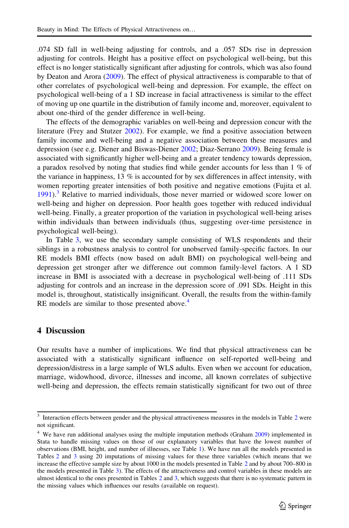.074 SD fall in well-being adjusting for controls, and a .057 SDs rise in depression adjusting for controls. Height has a positive effect on psychological well-being, but this effect is no longer statistically significant after adjusting for controls, which was also found by Deaton and Arora [\(2009](#page-10-0)). The effect of physical attractiveness is comparable to that of other correlates of psychological well-being and depression. For example, the effect on psychological well-being of a 1 SD increase in facial attractiveness is similar to the effect of moving up one quartile in the distribution of family income and, moreover, equivalent to about one-third of the gender difference in well-being.

The effects of the demographic variables on well-being and depression concur with the literature (Frey and Stutzer [2002\)](#page-11-0). For example, we find a positive association between family income and well-being and a negative association between these measures and depression (see e.g. Diener and Biswas-Diener [2002;](#page-10-0) Diaz-Serrano [2009](#page-10-0)). Being female is associated with significantly higher well-being and a greater tendency towards depression, a paradox resolved by noting that studies find while gender accounts for less than 1 % of the variance in happiness, 13 % is accounted for by sex differences in affect intensity, with women reporting greater intensities of both positive and negative emotions (Fujita et al. [1991\)](#page-11-0).<sup>3</sup> Relative to married individuals, those never married or widowed score lower on well-being and higher on depression. Poor health goes together with reduced individual well-being. Finally, a greater proportion of the variation in psychological well-being arises within individuals than between individuals (thus, suggesting over-time persistence in psychological well-being).

In Table [3,](#page-7-0) we use the secondary sample consisting of WLS respondents and their siblings in a robustness analysis to control for unobserved family-specific factors. In our RE models BMI effects (now based on adult BMI) on psychological well-being and depression get stronger after we difference out common family-level factors. A 1 SD increase in BMI is associated with a decrease in psychological well-being of .111 SDs adjusting for controls and an increase in the depression score of .091 SDs. Height in this model is, throughout, statistically insignificant. Overall, the results from the within-family RE models are similar to those presented above.<sup>4</sup>

#### 4 Discussion

Our results have a number of implications. We find that physical attractiveness can be associated with a statistically significant influence on self-reported well-being and depression/distress in a large sample of WLS adults. Even when we account for education, marriage, widowhood, divorce, illnesses and income, all known correlates of subjective well-being and depression, the effects remain statistically significant for two out of three

 $3$  Interaction effects between gender and the physical attractiveness measures in the models in Table  $2$  were not significant.

<sup>&</sup>lt;sup>4</sup> We have run additional analyses using the multiple imputation methods (Graham [2009\)](#page-11-0) implemented in Stata to handle missing values on those of our explanatory variables that have the lowest number of observations (BMI, height, and number of illnesses, see Table [1](#page-4-0)). We have run all the models presented in Tables [2](#page-5-0) and [3](#page-7-0) using 20 imputations of missing values for these three variables (which means that we increase the effective sample size by about 1000 in the models presented in Table [2](#page-5-0) and by about 700–800 in the models presented in Table [3\)](#page-7-0). The effects of the attractiveness and control variables in these models are almost identical to the ones presented in Tables [2](#page-5-0) and [3,](#page-7-0) which suggests that there is no systematic pattern in the missing values which influences our results (available on request).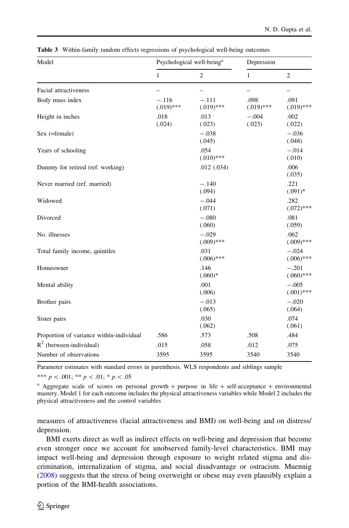| Model                                    |                         | Psychological well-being <sup>a</sup> | Depression           |                         |  |
|------------------------------------------|-------------------------|---------------------------------------|----------------------|-------------------------|--|
|                                          | $\mathbf{1}$            | $\overline{2}$                        | 1                    | $\overline{2}$          |  |
| Facial attractiveness                    |                         |                                       | -                    |                         |  |
| Body mass index                          | $-.116$<br>$(.019)$ *** | $-.111$<br>$(.019)$ ***               | .098<br>$(.019)$ *** | .091<br>$(.019)$ ***    |  |
| Height in inches                         | .018<br>(.024)          | .013<br>(.023)                        | $-.004$<br>(.023)    | .002<br>(.022)          |  |
| Sex (=female)                            |                         | $-.038$<br>(.045)                     |                      | $-.036$<br>(.048)       |  |
| Years of schooling                       |                         | .054<br>$(.010)$ ***                  |                      | $-.014$<br>(.010)       |  |
| Dummy for retired (ref. working)         |                         | .012(.034)                            |                      | .006<br>(.035)          |  |
| Never married (ref. married)             |                         | $-.140$<br>(.094)                     |                      | .221<br>$(.091)$ *      |  |
| Widowed                                  |                         | $-.044$<br>(.071)                     |                      | .282<br>$(.072)$ ***    |  |
| Divorced                                 |                         | $-.080$<br>(.060)                     |                      | .081<br>(.059)          |  |
| No. illnesses                            |                         | $-.029$<br>$(.009)$ ***               |                      | .062<br>$(.009)$ ***    |  |
| Total family income, quintiles           |                         | .031<br>$(.006)$ ***                  |                      | $-.024$<br>$(.006)$ *** |  |
| Homeowner                                |                         | .146<br>$(.060)*$                     |                      | $-.201$<br>$(.060)$ *** |  |
| Mental ability                           |                         | .001<br>(.006)                        |                      | $-.005$<br>$(.001)$ *** |  |
| Brother pairs                            |                         | $-.013$<br>(.065)                     |                      | $-.020$<br>(.064)       |  |
| Sister pairs                             |                         | .030<br>(.062)                        |                      | .074<br>(.061)          |  |
| Proportion of variance within-individual | .586                    | .573                                  | .508                 | .484                    |  |
| $R^2$ (between-individual)               | .015                    | .058                                  | .012                 | .075                    |  |
| Number of observations                   | 3595                    | 3595                                  | 3540                 | 3540                    |  |

<span id="page-7-0"></span>Table 3 Within-family random effects regressions of psychological well-being outcomes

Parameter estimates with standard errors in parenthesis. WLS respondents and siblings sample \*\*\*  $p$  < .001; \*\*  $p$  < .01; \*  $p$  < .05

<sup>a</sup> Aggregate scale of scores on personal growth  $+$  purpose in life  $+$  self-acceptance  $+$  environmental mastery. Model 1 for each outcome includes the physical attractiveness variables while Model 2 includes the physical attractiveness and the control variables

measures of attractiveness (facial attractiveness and BMI) on well-being and on distress/ depression.

BMI exerts direct as well as indirect effects on well-being and depression that become even stronger once we account for unobserved family-level characteristics. BMI may impact well-being and depression through exposure to weight related stigma and discrimination, internalization of stigma, and social disadvantage or ostracism. Muennig ([2008\)](#page-11-0) suggests that the stress of being overweight or obese may even plausibly explain a portion of the BMI-health associations.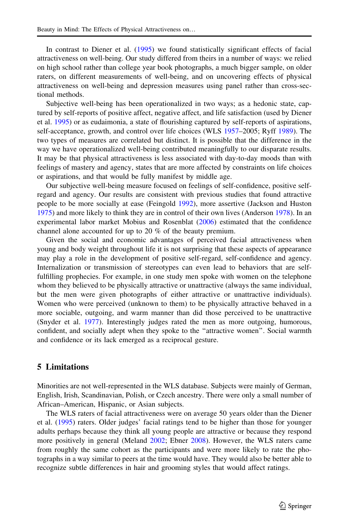In contrast to Diener et al. [\(1995](#page-10-0)) we found statistically significant effects of facial attractiveness on well-being. Our study differed from theirs in a number of ways: we relied on high school rather than college year book photographs, a much bigger sample, on older raters, on different measurements of well-being, and on uncovering effects of physical attractiveness on well-being and depression measures using panel rather than cross-sectional methods.

Subjective well-being has been operationalized in two ways; as a hedonic state, captured by self-reports of positive affect, negative affect, and life satisfaction (used by Diener et al. [1995](#page-10-0)) or as eudaimonia, a state of flourishing captured by self-reports of aspirations, self-acceptance, growth, and control over life choices (WLS [1957–](#page-12-0)2005; Ryff [1989](#page-11-0)). The two types of measures are correlated but distinct. It is possible that the difference in the way we have operationalized well-being contributed meaningfully to our disparate results. It may be that physical attractiveness is less associated with day-to-day moods than with feelings of mastery and agency, states that are more affected by constraints on life choices or aspirations, and that would be fully manifest by middle age.

Our subjective well-being measure focused on feelings of self-confidence, positive selfregard and agency. Our results are consistent with previous studies that found attractive people to be more socially at ease (Feingold [1992](#page-11-0)), more assertive (Jackson and Huston [1975\)](#page-11-0) and more likely to think they are in control of their own lives (Anderson [1978\)](#page-10-0). In an experimental labor market Mobius and Rosenblat ([2006\)](#page-11-0) estimated that the confidence channel alone accounted for up to 20 % of the beauty premium.

Given the social and economic advantages of perceived facial attractiveness when young and body weight throughout life it is not surprising that these aspects of appearance may play a role in the development of positive self-regard, self-confidence and agency. Internalization or transmission of stereotypes can even lead to behaviors that are selffulfilling prophecies. For example, in one study men spoke with women on the telephone whom they believed to be physically attractive or unattractive (always the same individual, but the men were given photographs of either attractive or unattractive individuals). Women who were perceived (unknown to them) to be physically attractive behaved in a more sociable, outgoing, and warm manner than did those perceived to be unattractive (Snyder et al. [1977\)](#page-11-0). Interestingly judges rated the men as more outgoing, humorous, confident, and socially adept when they spoke to the ''attractive women''. Social warmth and confidence or its lack emerged as a reciprocal gesture.

# 5 Limitations

Minorities are not well-represented in the WLS database. Subjects were mainly of German, English, Irish, Scandinavian, Polish, or Czech ancestry. There were only a small number of African–American, Hispanic, or Asian subjects.

The WLS raters of facial attractiveness were on average 50 years older than the Diener et al. ([1995\)](#page-10-0) raters. Older judges' facial ratings tend to be higher than those for younger adults perhaps because they think all young people are attractive or because they respond more positively in general (Meland [2002](#page-11-0); Ebner [2008](#page-11-0)). However, the WLS raters came from roughly the same cohort as the participants and were more likely to rate the photographs in a way similar to peers at the time would have. They would also be better able to recognize subtle differences in hair and grooming styles that would affect ratings.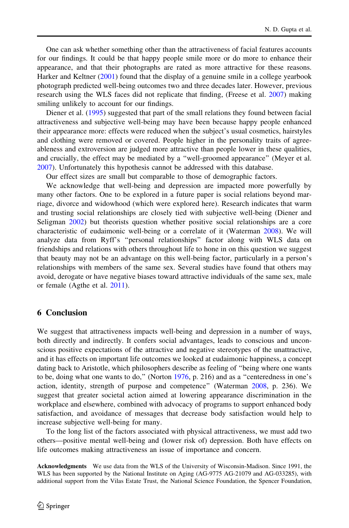One can ask whether something other than the attractiveness of facial features accounts for our findings. It could be that happy people smile more or do more to enhance their appearance, and that their photographs are rated as more attractive for these reasons. Harker and Keltner [\(2001](#page-11-0)) found that the display of a genuine smile in a college yearbook photograph predicted well-being outcomes two and three decades later. However, previous research using the WLS faces did not replicate that finding, (Freese et al. [2007\)](#page-11-0) making smiling unlikely to account for our findings.

Diener et al. [\(1995](#page-10-0)) suggested that part of the small relations they found between facial attractiveness and subjective well-being may have been because happy people enhanced their appearance more: effects were reduced when the subject's usual cosmetics, hairstyles and clothing were removed or covered. People higher in the personality traits of agreeableness and extroversion are judged more attractive than people lower in these qualities, and crucially, the effect may be mediated by a ''well-groomed appearance'' (Meyer et al. [2007\)](#page-11-0). Unfortunately this hypothesis cannot be addressed with this database.

Our effect sizes are small but comparable to those of demographic factors.

We acknowledge that well-being and depression are impacted more powerfully by many other factors. One to be explored in a future paper is social relations beyond marriage, divorce and widowhood (which were explored here). Research indicates that warm and trusting social relationships are closely tied with subjective well-being (Diener and Seligman [2002\)](#page-10-0) but theorists question whether positive social relationships are a core characteristic of eudaimonic well-being or a correlate of it (Waterman [2008](#page-12-0)). We will analyze data from Ryff's ''personal relationships'' factor along with WLS data on friendships and relations with others throughout life to hone in on this question we suggest that beauty may not be an advantage on this well-being factor, particularly in a person's relationships with members of the same sex. Several studies have found that others may avoid, derogate or have negative biases toward attractive individuals of the same sex, male or female (Agthe et al. [2011\)](#page-10-0).

# 6 Conclusion

We suggest that attractiveness impacts well-being and depression in a number of ways, both directly and indirectly. It confers social advantages, leads to conscious and unconscious positive expectations of the attractive and negative stereotypes of the unattractive, and it has effects on important life outcomes we looked at eudaimonic happiness, a concept dating back to Aristotle, which philosophers describe as feeling of ''being where one wants to be, doing what one wants to do," (Norton [1976,](#page-11-0) p. 216) and as a "centeredness in one's action, identity, strength of purpose and competence'' (Waterman [2008](#page-12-0), p. 236). We suggest that greater societal action aimed at lowering appearance discrimination in the workplace and elsewhere, combined with advocacy of programs to support enhanced body satisfaction, and avoidance of messages that decrease body satisfaction would help to increase subjective well-being for many.

To the long list of the factors associated with physical attractiveness, we must add two others—positive mental well-being and (lower risk of) depression. Both have effects on life outcomes making attractiveness an issue of importance and concern.

Acknowledgments We use data from the WLS of the University of Wisconsin-Madison. Since 1991, the WLS has been supported by the National Institute on Aging (AG-9775 AG-21079 and AG-033285), with additional support from the Vilas Estate Trust, the National Science Foundation, the Spencer Foundation,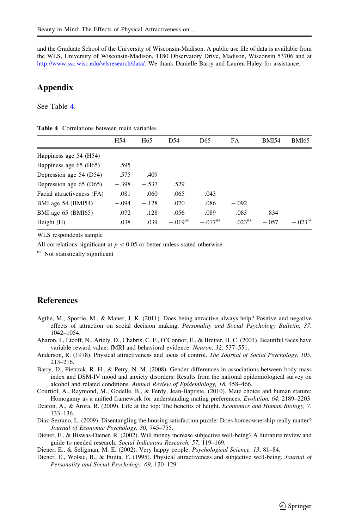<span id="page-10-0"></span>and the Graduate School of the University of Wisconsin-Madison. A public use file of data is available from the WLS, University of Wisconsin-Madison, 1180 Observatory Drive, Madison, Wisconsin 53706 and at <http://www.ssc.wisc.edu/wlsresearch/data/>. We thank Danielle Barry and Lauren Haley for assistance.

# Appendix

See Table 4.

|                            | H <sub>54</sub> | H <sub>65</sub> | D <sub>54</sub> | D <sub>65</sub>  | FA                 | <b>BMI54</b> | <b>BMI65</b> |
|----------------------------|-----------------|-----------------|-----------------|------------------|--------------------|--------------|--------------|
| Happiness age 54 (H54)     |                 |                 |                 |                  |                    |              |              |
| Happiness age 65 (H65)     | .595            |                 |                 |                  |                    |              |              |
| Depression age 54 (D54)    | $-.575$         | $-.409$         |                 |                  |                    |              |              |
| Depression age $65$ (D65)  | $-.398$         | $-.537$         | .529            |                  |                    |              |              |
| Facial attractiveness (FA) | .081            | .060            | $-.065$         | $-.043$          |                    |              |              |
| BMI age 54 (BMI54)         | $-.094$         | $-.128$         | .070            | .086             | $-.092$            |              |              |
| BMI age 65 (BMI65)         | $-.072$         | $-.128$         | .056            | .089             | $-.083$            | .834         |              |
| Height $(H)$               | .038            | .039            | $-.019ns$       | $-.017^{\rm ns}$ | .023 <sup>ns</sup> | $-.057$      | $-.023ns$    |
|                            |                 |                 |                 |                  |                    |              |              |

WLS respondents sample

All correlations significant at  $p < 0.05$  or better unless stated otherwise

ns Not statistically significant

#### References

- Agthe, M., Sporrie, M., & Maner, J. K. (2011). Does being attractive always help? Positive and negative effects of attraction on social decision making. Personality and Social Psychology Bulletin, 37, 1042–1054.
- Aharon, I., Etcoff, N., Ariely, D., Chabris, C. F., O'Connor, E., & Breiter, H. C. (2001). Beautiful faces have variable reward value: fMRI and behavioral evidence. Neuron, 32, 537–551.
- Anderson, R. (1978). Physical attractiveness and locus of control. The Journal of Social Psychology, 105, 213–216.
- Barry, D., Pietrzak, R. H., & Petry, N. M. (2008). Gender differences in associations between body mass index and DSM-IV mood and anxiety disorders: Results from the national epidemiological survey on alcohol and related conditions. Annual Review of Epidemiology, 18, 458–466.
- Courtiol, A., Raymond, M., Godelle, B., & Ferdy, Jean-Baptiste. (2010). Mate choice and human stature: Homogamy as a unified framework for understanding mating preferences. Evolution, 64, 2189–2203.
- Deaton, A., & Arora, R. (2009). Life at the top: The benefits of height. *Economics and Human Biology*, 7, 133–136.
- Diaz-Serrano, L. (2009). Disentangling the housing satisfaction puzzle: Does homeownership really matter? Journal of Economic Psychology, 30, 745–755.
- Diener, E., & Biswas-Diener, R. (2002). Will money increase subjective well-being? A literature review and guide to needed research. Social Indicators Research, 57, 119–169.
- Diener, E., & Seligman, M. E. (2002). Very happy people. Psychological Science, 13, 81–84.
- Diener, E., Wolsic, B., & Fujita, F. (1995). Physical attractiveness and subjective well-being. *Journal of* Personality and Social Psychology, 69, 120–129.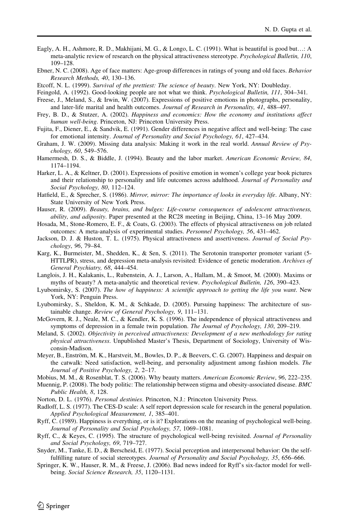- <span id="page-11-0"></span>Eagly, A. H., Ashmore, R. D., Makhijani, M. G., & Longo, L. C. (1991). What is beautiful is good but…: A meta-analytic review of research on the physical attractiveness stereotype. Psychological Bulletin, 110, 109–128.
- Ebner, N. C. (2008). Age of face matters: Age-group differences in ratings of young and old faces. *Behavior* Research Methods, 40, 130–136.
- Etcoff, N. L. (1999). Survival of the prettiest: The science of beauty. New York, NY: Doubleday.
- Feingold, A. (1992). Good-looking people are not what we think. *Psychological Bulletin*, 111, 304–341.
- Freese, J., Meland, S., & Irwin, W. (2007). Expressions of positive emotions in photographs, personality, and later-life marital and health outcomes. Journal of Research in Personality, 41, 488–497.
- Frey, B. D., & Stutzer, A. (2002). Happiness and economics: How the economy and institutions affect human well-being. Princeton, NJ: Princeton University Press.
- Fujita, F., Diener, E., & Sandvik, E. (1991). Gender differences in negative affect and well-being: The case for emotional intensity. Journal of Personality and Social Psychology, 61, 427–434.
- Graham, J. W. (2009). Missing data analysis: Making it work in the real world. Annual Review of Psychology, 60, 549–576.
- Hamermesh, D. S., & Biddle, J. (1994). Beauty and the labor market. American Economic Review, 84, 1174–1194.
- Harker, L. A., & Keltner, D. (2001). Expressions of positive emotion in women's college year book pictures and their relationship to personality and life outcomes across adulthood. Journal of Personality and Social Psychology, 80, 112–124.
- Hatfield, E., & Sprecher, S. (1986). Mirror, mirror: The importance of looks in everyday life. Albany, NY: State University of New York Press.
- Hauser, R. (2009). Beauty, brains, and bulges: Life-course consequences of adolescent attractiveness, ability, and adiposity. Paper presented at the RC28 meeting in Beijing, China, 13–16 May 2009.
- Hosada, M., Stone-Romero, E. F., & Coats, G. (2003). The effects of physical attractiveness on job related outcomes: A meta-analysis of experimental studies. Personnel Psychology, 56, 431–462.
- Jackson, D. J. & Huston, T. L. (1975). Physical attractiveness and assertiveness. Journal of Social Psychology, 96, 79–84.
- Karg, K., Burmeister, M., Shedden, K., & Sen, S. (2011). The Serotonin transporter promoter variant (5- HTTLPR), stress, and depression meta-analysis revisited: Evidence of genetic moderation. Archives of General Psychiatry, 68, 444–454.
- Langlois, J. H., Kalakanis, L., Rubenstein, A. J., Larson, A., Hallam, M., & Smoot, M. (2000). Maxims or myths of beauty? A meta-analytic and theoretical review. Psychological Bulletin, 126, 390–423.
- Lyubomirsky, S. (2007). The how of happiness: A scientific approach to getting the life you want. New York, NY: Penguin Press.
- Lyubomirsky, S., Sheldon, K. M., & Schkade, D. (2005). Pursuing happiness: The architecture of sustainable change. Review of General Psychology, 9, 111–131.
- McGovern, R. J., Neale, M. C., & Kendler, K. S. (1996). The independence of physical attractiveness and symptoms of depression in a female twin population. The Journal of Psychology, 130, 209–219.
- Meland, S. (2002). Objectivity in perceived attractiveness: Development of a new methodology for rating physical attractiveness. Unpublished Master's Thesis, Department of Sociology, University of Wisconsin-Madison.
- Meyer, B., Enström, M. K., Harstveit, M., Bowles, D. P., & Beevers, C. G. (2007). Happiness and despair on the catwalk: Need satisfaction, well-being, and personality adjustment among fashion models. The Journal of Positive Psychology, 2, 2–17.
- Mobius, M. M., & Rosenblat, T. S. (2006). Why beauty matters. American Economic Review, 96, 222–235.
- Muennig, P. (2008). The body politic: The relationship between stigma and obesity-associated disease. BMC Public Health, 8, 128.
- Norton, D. L. (1976). Personal destinies. Princeton, N.J.: Princeton University Press.
- Radloff, L. S. (1977). The CES-D scale: A self report depression scale for research in the general population. Applied Psychological Measurement, 1, 385–401.
- Ryff, C. (1989). Happiness is everything, or is it? Explorations on the meaning of psychological well-being. Journal of Personality and Social Psychology, 57, 1069–1081.
- Ryff, C., & Keyes, C. (1995). The structure of psychological well-being revisited. Journal of Personality and Social Psychology, 69, 719–727.
- Snyder, M., Tanke, E. D., & Berscheid, E. (1977). Social perception and interpersonal behavior: On the selffulfilling nature of social stereotypes. Journal of Personality and Social Psychology, 35, 656–666.
- Springer, K. W., Hauser, R. M., & Freese, J. (2006). Bad news indeed for Ryff's six-factor model for wellbeing. Social Science Research, 35, 1120–1131.